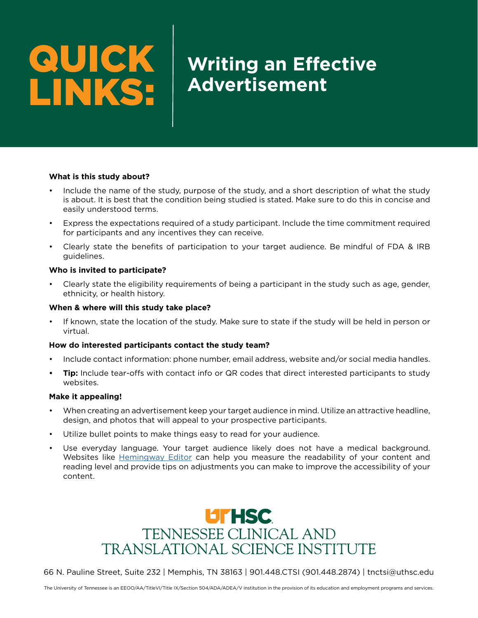# QUICK LINKS:

# **Writing an Effective Advertisement**

## **What is this study about?**

- Include the name of the study, purpose of the study, and a short description of what the study is about. It is best that the condition being studied is stated. Make sure to do this in concise and easily understood terms.
- Express the expectations required of a study participant. Include the time commitment required for participants and any incentives they can receive.
- Clearly state the benefits of participation to your target audience. Be mindful of FDA & IRB guidelines.

#### **Who is invited to participate?**

• Clearly state the eligibility requirements of being a participant in the study such as age, gender, ethnicity, or health history.

#### **When & where will this study take place?**

• If known, state the location of the study. Make sure to state if the study will be held in person or virtual.

## **How do interested participants contact the study team?**

- Include contact information: phone number, email address, website and/or social media handles.
- **• Tip:** Include tear-offs with contact info or QR codes that direct interested participants to study websites.

#### **Make it appealing!**

- When creating an advertisement keep your target audience in mind. Utilize an attractive headline, design, and photos that will appeal to your prospective participants.
- Utilize bullet points to make things easy to read for your audience.
- Use everyday language. Your target audience likely does not have a medical background. Websites like [Hemingway Editor](https://hemingwayapp.com/) can help you measure the readability of your content and reading level and provide tips on adjustments you can make to improve the accessibility of your content.



66 N. Pauline Street, Suite 232 | Memphis, TN 38163 | 901.448.CTSI (901.448.2874) | tnctsi@uthsc.edu